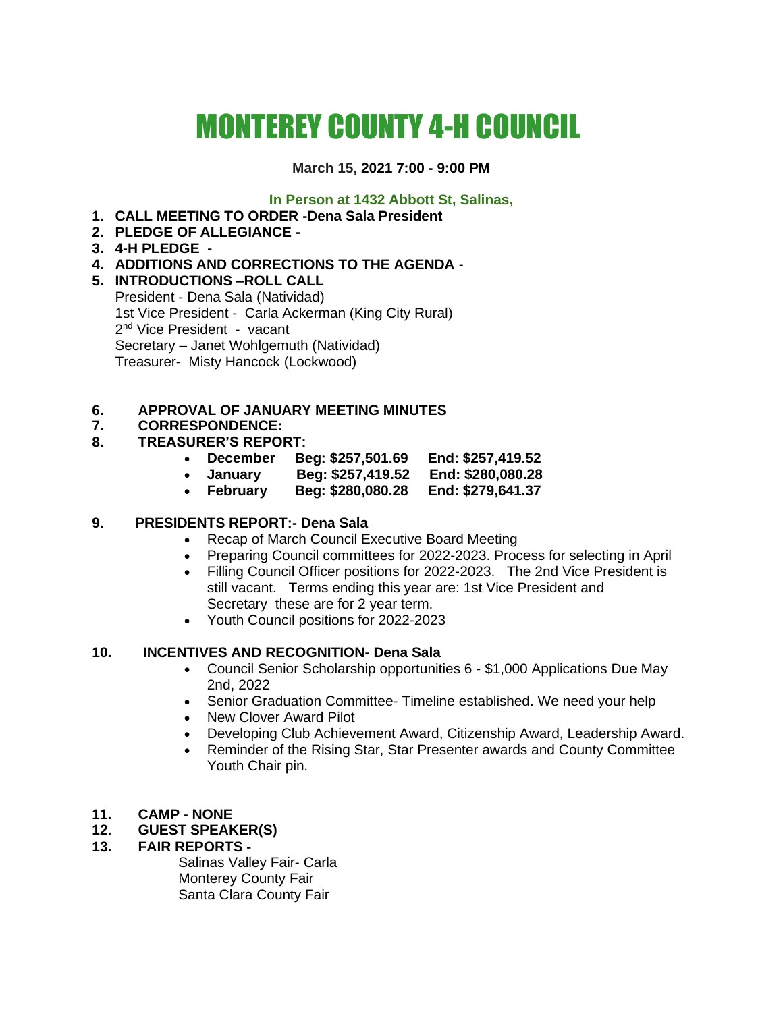# MONTEREY COUNTY 4-H COUNCIL

# **March 15, 2021 7:00 - 9:00 PM**

## **In Person at 1432 Abbott St, Salinas,**

- **1. CALL MEETING TO ORDER -Dena Sala President**
- **2. PLEDGE OF ALLEGIANCE -**
- **3. 4-H PLEDGE -**
- **4. ADDITIONS AND CORRECTIONS TO THE AGENDA** -
- **5. INTRODUCTIONS –ROLL CALL**  President - Dena Sala (Natividad) 1st Vice President - Carla Ackerman (King City Rural) 2<sup>nd</sup> Vice President - vacant Secretary – Janet Wohlgemuth (Natividad) Treasurer- Misty Hancock (Lockwood)

# **6. APPROVAL OF JANUARY MEETING MINUTES**

# **7. CORRESPONDENCE:**

## **8. TREASURER'S REPORT:**

- **December Beg: \$257,501.69 End: \$257,419.52**
- **January Beg: \$257,419.52 End: \$280,080.28**
- **February Beg: \$280,080.28 End: \$279,641.37**

# **9. PRESIDENTS REPORT:- Dena Sala**

- Recap of March Council Executive Board Meeting
- Preparing Council committees for 2022-2023. Process for selecting in April
- Filling Council Officer positions for 2022-2023. The 2nd Vice President is still vacant. Terms ending this year are: 1st Vice President and Secretary these are for 2 year term.
- Youth Council positions for 2022-2023

# **10. INCENTIVES AND RECOGNITION- Dena Sala**

- Council Senior Scholarship opportunities 6 \$1,000 Applications Due May 2nd, 2022
- Senior Graduation Committee- Timeline established. We need your help
- New Clover Award Pilot
- Developing Club Achievement Award, Citizenship Award, Leadership Award.
- Reminder of the Rising Star, Star Presenter awards and County Committee Youth Chair pin.
- **11. CAMP - NONE**

## **12. GUEST SPEAKER(S)**

## **13. FAIR REPORTS -**

Salinas Valley Fair- Carla Monterey County Fair Santa Clara County Fair